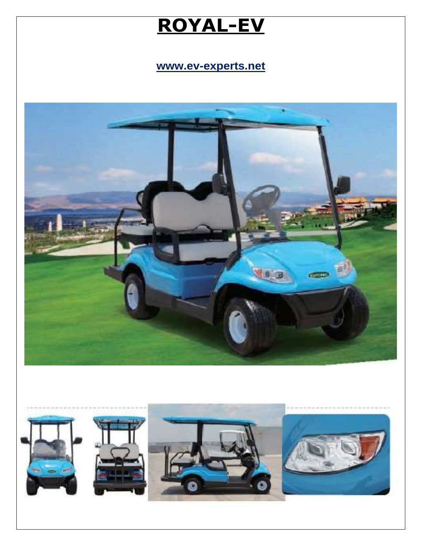# **ROYAL-EV**

**www.ev-experts.net**



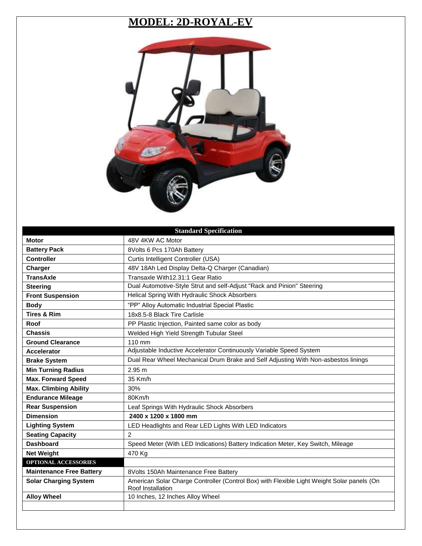## **MODEL: 2D-ROYAL-EV**



|                                 | <b>Standard Specification</b>                                                                                   |
|---------------------------------|-----------------------------------------------------------------------------------------------------------------|
| <b>Motor</b>                    | 48V 4KW AC Motor                                                                                                |
| <b>Battery Pack</b>             | 8Volts 6 Pcs 170Ah Battery                                                                                      |
| <b>Controller</b>               | Curtis Intelligent Controller (USA)                                                                             |
| Charger                         | 48V 18Ah Led Display Delta-Q Charger (Canadian)                                                                 |
| <b>TransAxle</b>                | Transaxle With12.31:1 Gear Ratio                                                                                |
| <b>Steering</b>                 | Dual Automotive-Style Strut and self-Adjust "Rack and Pinion" Steering                                          |
| <b>Front Suspension</b>         | Helical Spring With Hydraulic Shock Absorbers                                                                   |
| <b>Body</b>                     | "PP" Alloy Automatic Industrial Special Plastic                                                                 |
| <b>Tires &amp; Rim</b>          | 18x8.5-8 Black Tire Carlisle                                                                                    |
| Roof                            | PP Plastic Injection, Painted same color as body                                                                |
| <b>Chassis</b>                  | Welded High Yield Strength Tubular Steel                                                                        |
| <b>Ground Clearance</b>         | 110 mm                                                                                                          |
| <b>Accelerator</b>              | Adjustable Inductive Accelerator Continuously Variable Speed System                                             |
| <b>Brake System</b>             | Dual Rear Wheel Mechanical Drum Brake and Self Adjusting With Non-asbestos linings                              |
| <b>Min Turning Radius</b>       | 2.95 m                                                                                                          |
| <b>Max. Forward Speed</b>       | 35 Km/h                                                                                                         |
| <b>Max. Climbing Ability</b>    | 30%                                                                                                             |
| <b>Endurance Mileage</b>        | 80Km/h                                                                                                          |
| <b>Rear Suspension</b>          | Leaf Springs With Hydraulic Shock Absorbers                                                                     |
| <b>Dimension</b>                | 2400 x 1200 x 1800 mm                                                                                           |
| <b>Lighting System</b>          | LED Headlights and Rear LED Lights With LED Indicators                                                          |
| <b>Seating Capacity</b>         | $\overline{2}$                                                                                                  |
| <b>Dashboard</b>                | Speed Meter (With LED Indications) Battery Indication Meter, Key Switch, Mileage                                |
| <b>Net Weight</b>               | 470 Kg                                                                                                          |
| <b>OPTIONAL ACCESSORIES</b>     |                                                                                                                 |
| <b>Maintenance Free Battery</b> | 8Volts 150Ah Maintenance Free Battery                                                                           |
| <b>Solar Charging System</b>    | American Solar Charge Controller (Control Box) with Flexible Light Weight Solar panels (On<br>Roof Installation |
| <b>Alloy Wheel</b>              | 10 Inches, 12 Inches Alloy Wheel                                                                                |
|                                 |                                                                                                                 |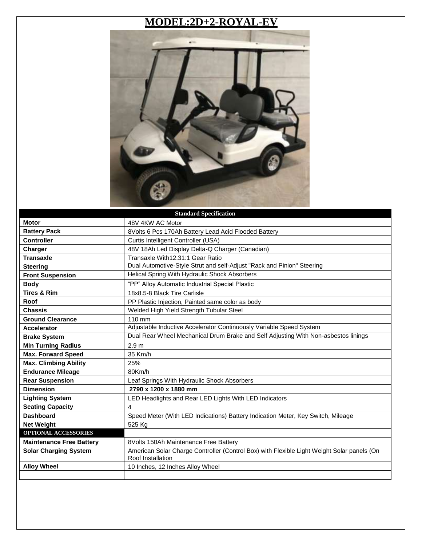#### **MODEL:2D+2-ROYAL-EV**



|                                 | <b>Standard Specification</b>                                                                                   |
|---------------------------------|-----------------------------------------------------------------------------------------------------------------|
| <b>Motor</b>                    | 48V 4KW AC Motor                                                                                                |
| <b>Battery Pack</b>             | 8Volts 6 Pcs 170Ah Battery Lead Acid Flooded Battery                                                            |
| <b>Controller</b>               | Curtis Intelligent Controller (USA)                                                                             |
| Charger                         | 48V 18Ah Led Display Delta-Q Charger (Canadian)                                                                 |
| <b>Transaxle</b>                | Transaxle With12.31:1 Gear Ratio                                                                                |
| <b>Steering</b>                 | Dual Automotive-Style Strut and self-Adjust "Rack and Pinion" Steering                                          |
| <b>Front Suspension</b>         | Helical Spring With Hydraulic Shock Absorbers                                                                   |
| <b>Body</b>                     | "PP" Alloy Automatic Industrial Special Plastic                                                                 |
| <b>Tires &amp; Rim</b>          | 18x8.5-8 Black Tire Carlisle                                                                                    |
| Roof                            | PP Plastic Injection, Painted same color as body                                                                |
| <b>Chassis</b>                  | Welded High Yield Strength Tubular Steel                                                                        |
| <b>Ground Clearance</b>         | 110 mm                                                                                                          |
| <b>Accelerator</b>              | Adjustable Inductive Accelerator Continuously Variable Speed System                                             |
| <b>Brake System</b>             | Dual Rear Wheel Mechanical Drum Brake and Self Adjusting With Non-asbestos linings                              |
| <b>Min Turning Radius</b>       | 2.9 <sub>m</sub>                                                                                                |
| <b>Max. Forward Speed</b>       | 35 Km/h                                                                                                         |
| <b>Max. Climbing Ability</b>    | 25%                                                                                                             |
| <b>Endurance Mileage</b>        | 80Km/h                                                                                                          |
| <b>Rear Suspension</b>          | Leaf Springs With Hydraulic Shock Absorbers                                                                     |
| <b>Dimension</b>                | 2790 x 1200 x 1880 mm                                                                                           |
| <b>Lighting System</b>          | LED Headlights and Rear LED Lights With LED Indicators                                                          |
| <b>Seating Capacity</b>         | 4                                                                                                               |
| <b>Dashboard</b>                | Speed Meter (With LED Indications) Battery Indication Meter, Key Switch, Mileage                                |
| <b>Net Weight</b>               | 525 Kg                                                                                                          |
| <b>OPTIONAL ACCESSORIES</b>     |                                                                                                                 |
| <b>Maintenance Free Battery</b> | 8Volts 150Ah Maintenance Free Battery                                                                           |
| <b>Solar Charging System</b>    | American Solar Charge Controller (Control Box) with Flexible Light Weight Solar panels (On<br>Roof Installation |
| <b>Alloy Wheel</b>              | 10 Inches, 12 Inches Alloy Wheel                                                                                |
|                                 |                                                                                                                 |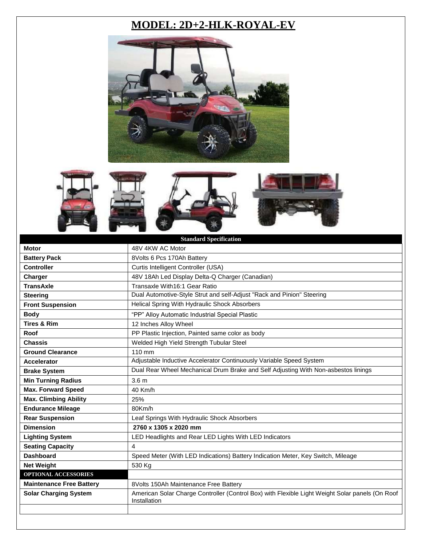## **MODEL: 2D+2-HLK-ROYAL-EV**











|                                 | <b>Standard Specification</b>                                                                                   |
|---------------------------------|-----------------------------------------------------------------------------------------------------------------|
| <b>Motor</b>                    | 48V 4KW AC Motor                                                                                                |
| <b>Battery Pack</b>             | 8Volts 6 Pcs 170Ah Battery                                                                                      |
| <b>Controller</b>               | Curtis Intelligent Controller (USA)                                                                             |
| Charger                         | 48V 18Ah Led Display Delta-Q Charger (Canadian)                                                                 |
| <b>TransAxle</b>                | Transaxle With16:1 Gear Ratio                                                                                   |
| <b>Steering</b>                 | Dual Automotive-Style Strut and self-Adjust "Rack and Pinion" Steering                                          |
| <b>Front Suspension</b>         | Helical Spring With Hydraulic Shock Absorbers                                                                   |
| <b>Body</b>                     | "PP" Alloy Automatic Industrial Special Plastic                                                                 |
| <b>Tires &amp; Rim</b>          | 12 Inches Alloy Wheel                                                                                           |
| Roof                            | PP Plastic Injection, Painted same color as body                                                                |
| <b>Chassis</b>                  | Welded High Yield Strength Tubular Steel                                                                        |
| <b>Ground Clearance</b>         | 110 mm                                                                                                          |
| <b>Accelerator</b>              | Adjustable Inductive Accelerator Continuously Variable Speed System                                             |
| <b>Brake System</b>             | Dual Rear Wheel Mechanical Drum Brake and Self Adjusting With Non-asbestos linings                              |
| <b>Min Turning Radius</b>       | 3.6 <sub>m</sub>                                                                                                |
| <b>Max. Forward Speed</b>       | 40 Km/h                                                                                                         |
| <b>Max. Climbing Ability</b>    | 25%                                                                                                             |
| <b>Endurance Mileage</b>        | 80Km/h                                                                                                          |
| <b>Rear Suspension</b>          | Leaf Springs With Hydraulic Shock Absorbers                                                                     |
| <b>Dimension</b>                | 2760 x 1305 x 2020 mm                                                                                           |
| <b>Lighting System</b>          | LED Headlights and Rear LED Lights With LED Indicators                                                          |
| <b>Seating Capacity</b>         | 4                                                                                                               |
| <b>Dashboard</b>                | Speed Meter (With LED Indications) Battery Indication Meter, Key Switch, Mileage                                |
| <b>Net Weight</b>               | 530 Kg                                                                                                          |
| OPTIONAL ACCESSORIES            |                                                                                                                 |
| <b>Maintenance Free Battery</b> | 8Volts 150Ah Maintenance Free Battery                                                                           |
| <b>Solar Charging System</b>    | American Solar Charge Controller (Control Box) with Flexible Light Weight Solar panels (On Roof<br>Installation |
|                                 |                                                                                                                 |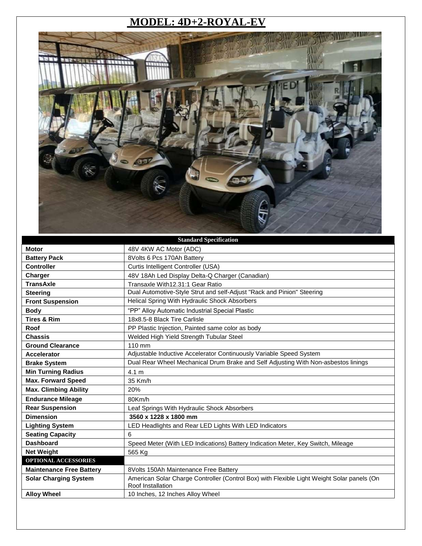#### **MODEL: 4D+2-ROYAL-EV**



| <b>Standard Specification</b>   |                                                                                                                 |
|---------------------------------|-----------------------------------------------------------------------------------------------------------------|
| <b>Motor</b>                    | 48V 4KW AC Motor (ADC)                                                                                          |
| <b>Battery Pack</b>             | 8Volts 6 Pcs 170Ah Battery                                                                                      |
| <b>Controller</b>               | Curtis Intelligent Controller (USA)                                                                             |
| Charger                         | 48V 18Ah Led Display Delta-Q Charger (Canadian)                                                                 |
| <b>TransAxle</b>                | Transaxle With12.31:1 Gear Ratio                                                                                |
| <b>Steering</b>                 | Dual Automotive-Style Strut and self-Adjust "Rack and Pinion" Steering                                          |
| <b>Front Suspension</b>         | Helical Spring With Hydraulic Shock Absorbers                                                                   |
| <b>Body</b>                     | "PP" Alloy Automatic Industrial Special Plastic                                                                 |
| <b>Tires &amp; Rim</b>          | 18x8.5-8 Black Tire Carlisle                                                                                    |
| Roof                            | PP Plastic Injection, Painted same color as body                                                                |
| <b>Chassis</b>                  | Welded High Yield Strength Tubular Steel                                                                        |
| <b>Ground Clearance</b>         | 110 mm                                                                                                          |
| <b>Accelerator</b>              | Adjustable Inductive Accelerator Continuously Variable Speed System                                             |
| <b>Brake System</b>             | Dual Rear Wheel Mechanical Drum Brake and Self Adjusting With Non-asbestos linings                              |
| <b>Min Turning Radius</b>       | 4.1 m                                                                                                           |
| <b>Max. Forward Speed</b>       | 35 Km/h                                                                                                         |
| <b>Max. Climbing Ability</b>    | 20%                                                                                                             |
| <b>Endurance Mileage</b>        | 80Km/h                                                                                                          |
| <b>Rear Suspension</b>          | Leaf Springs With Hydraulic Shock Absorbers                                                                     |
| <b>Dimension</b>                | 3560 x 1228 x 1800 mm                                                                                           |
| <b>Lighting System</b>          | LED Headlights and Rear LED Lights With LED Indicators                                                          |
| <b>Seating Capacity</b>         | 6                                                                                                               |
| <b>Dashboard</b>                | Speed Meter (With LED Indications) Battery Indication Meter, Key Switch, Mileage                                |
| <b>Net Weight</b>               | 565 Kg                                                                                                          |
| <b>OPTIONAL ACCESSORIES</b>     |                                                                                                                 |
| <b>Maintenance Free Battery</b> | 8Volts 150Ah Maintenance Free Battery                                                                           |
| <b>Solar Charging System</b>    | American Solar Charge Controller (Control Box) with Flexible Light Weight Solar panels (On<br>Roof Installation |
| <b>Alloy Wheel</b>              | 10 Inches, 12 Inches Alloy Wheel                                                                                |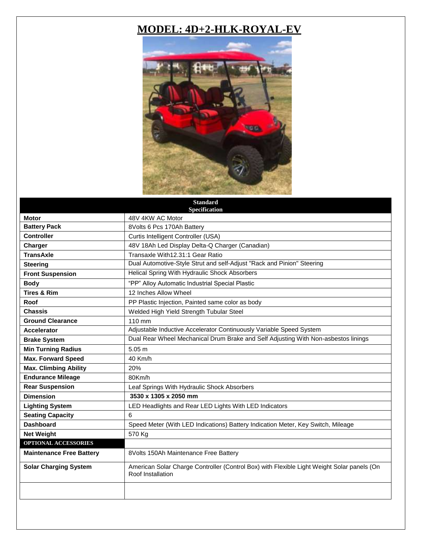#### **MODEL: 4D+2-HLK-ROYAL-EV**



|                                 | <b>Standard</b><br>Specification                                                                                |
|---------------------------------|-----------------------------------------------------------------------------------------------------------------|
| <b>Motor</b>                    | 48V 4KW AC Motor                                                                                                |
| <b>Battery Pack</b>             | 8Volts 6 Pcs 170Ah Battery                                                                                      |
| <b>Controller</b>               | Curtis Intelligent Controller (USA)                                                                             |
| Charger                         | 48V 18Ah Led Display Delta-Q Charger (Canadian)                                                                 |
| <b>TransAxle</b>                | Transaxle With12.31:1 Gear Ratio                                                                                |
| <b>Steering</b>                 | Dual Automotive-Style Strut and self-Adjust "Rack and Pinion" Steering                                          |
| <b>Front Suspension</b>         | Helical Spring With Hydraulic Shock Absorbers                                                                   |
| <b>Body</b>                     | "PP" Alloy Automatic Industrial Special Plastic                                                                 |
| <b>Tires &amp; Rim</b>          | 12 Inches Allow Wheel                                                                                           |
| Roof                            | PP Plastic Injection, Painted same color as body                                                                |
| <b>Chassis</b>                  | Welded High Yield Strength Tubular Steel                                                                        |
| <b>Ground Clearance</b>         | $110 \text{ mm}$                                                                                                |
| <b>Accelerator</b>              | Adjustable Inductive Accelerator Continuously Variable Speed System                                             |
| <b>Brake System</b>             | Dual Rear Wheel Mechanical Drum Brake and Self Adjusting With Non-asbestos linings                              |
| <b>Min Turning Radius</b>       | 5.05 m                                                                                                          |
| <b>Max. Forward Speed</b>       | 40 Km/h                                                                                                         |
| <b>Max. Climbing Ability</b>    | 20%                                                                                                             |
| <b>Endurance Mileage</b>        | 80Km/h                                                                                                          |
| <b>Rear Suspension</b>          | Leaf Springs With Hydraulic Shock Absorbers                                                                     |
| <b>Dimension</b>                | 3530 x 1305 x 2050 mm                                                                                           |
| <b>Lighting System</b>          | LED Headlights and Rear LED Lights With LED Indicators                                                          |
| <b>Seating Capacity</b>         | 6                                                                                                               |
| <b>Dashboard</b>                | Speed Meter (With LED Indications) Battery Indication Meter, Key Switch, Mileage                                |
| <b>Net Weight</b>               | 570 Kg                                                                                                          |
| OPTIONAL ACCESSORIES            |                                                                                                                 |
| <b>Maintenance Free Battery</b> | 8Volts 150Ah Maintenance Free Battery                                                                           |
| <b>Solar Charging System</b>    | American Solar Charge Controller (Control Box) with Flexible Light Weight Solar panels (On<br>Roof Installation |
|                                 |                                                                                                                 |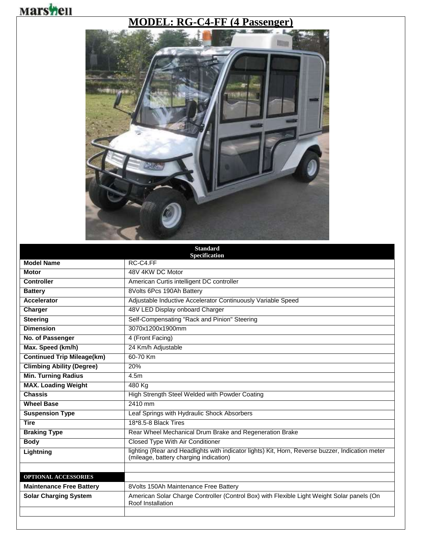## **Marshell**

#### **MODEL: RG-C4-FF (4 Passenger)**



|                                   | <b>Standard</b><br>Specification                                                                                                           |
|-----------------------------------|--------------------------------------------------------------------------------------------------------------------------------------------|
| <b>Model Name</b>                 | RC-C4.FF                                                                                                                                   |
| <b>Motor</b>                      | 48V 4KW DC Motor                                                                                                                           |
| <b>Controller</b>                 | American Curtis intelligent DC controller                                                                                                  |
| <b>Battery</b>                    | 8Volts 6Pcs 190Ah Battery                                                                                                                  |
| <b>Accelerator</b>                | Adjustable Inductive Accelerator Continuously Variable Speed                                                                               |
| Charger                           | 48V LED Display onboard Charger                                                                                                            |
| <b>Steering</b>                   | Self-Compensating "Rack and Pinion" Steering                                                                                               |
| <b>Dimension</b>                  | 3070x1200x1900mm                                                                                                                           |
| No. of Passenger                  | 4 (Front Facing)                                                                                                                           |
| Max. Speed (km/h)                 | 24 Km/h Adjustable                                                                                                                         |
| <b>Continued Trip Mileage(km)</b> | 60-70 Km                                                                                                                                   |
| <b>Climbing Ability (Degree)</b>  | 20%                                                                                                                                        |
| <b>Min. Turning Radius</b>        | 4.5m                                                                                                                                       |
| <b>MAX. Loading Weight</b>        | 480 Kg                                                                                                                                     |
| <b>Chassis</b>                    | High Strength Steel Welded with Powder Coating                                                                                             |
| <b>Wheel Base</b>                 | 2410 mm                                                                                                                                    |
| <b>Suspension Type</b>            | Leaf Springs with Hydraulic Shock Absorbers                                                                                                |
| <b>Tire</b>                       | 18*8.5-8 Black Tires                                                                                                                       |
| <b>Braking Type</b>               | Rear Wheel Mechanical Drum Brake and Regeneration Brake                                                                                    |
| <b>Body</b>                       | <b>Closed Type With Air Conditioner</b>                                                                                                    |
| Lightning                         | lighting (Rear and Headlights with indicator lights) Kit, Horn, Reverse buzzer, Indication meter<br>(mileage, battery charging indication) |
|                                   |                                                                                                                                            |
| <b>OPTIONAL ACCESSORIES</b>       |                                                                                                                                            |
| <b>Maintenance Free Battery</b>   | 8Volts 150Ah Maintenance Free Battery                                                                                                      |
| <b>Solar Charging System</b>      | American Solar Charge Controller (Control Box) with Flexible Light Weight Solar panels (On<br>Roof Installation                            |
|                                   |                                                                                                                                            |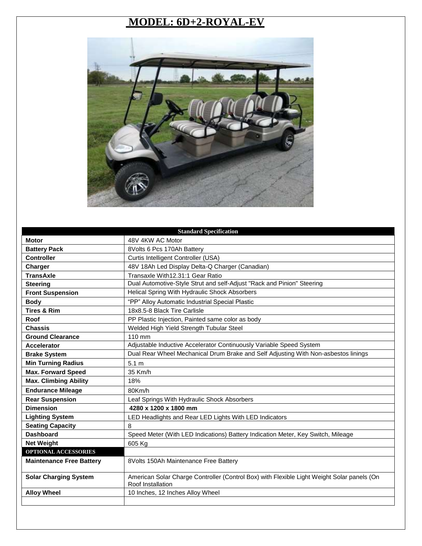## **MODEL: 6D+2-ROYAL-EV**



| <b>Standard Specification</b>   |                                                                                                                 |
|---------------------------------|-----------------------------------------------------------------------------------------------------------------|
| <b>Motor</b>                    | 48V 4KW AC Motor                                                                                                |
| <b>Battery Pack</b>             | 8Volts 6 Pcs 170Ah Battery                                                                                      |
| <b>Controller</b>               | Curtis Intelligent Controller (USA)                                                                             |
| Charger                         | 48V 18Ah Led Display Delta-Q Charger (Canadian)                                                                 |
| <b>TransAxle</b>                | Transaxle With12.31:1 Gear Ratio                                                                                |
| <b>Steering</b>                 | Dual Automotive-Style Strut and self-Adjust "Rack and Pinion" Steering                                          |
| <b>Front Suspension</b>         | Helical Spring With Hydraulic Shock Absorbers                                                                   |
| <b>Body</b>                     | "PP" Alloy Automatic Industrial Special Plastic                                                                 |
| <b>Tires &amp; Rim</b>          | 18x8.5-8 Black Tire Carlisle                                                                                    |
| Roof                            | PP Plastic Injection, Painted same color as body                                                                |
| <b>Chassis</b>                  | Welded High Yield Strength Tubular Steel                                                                        |
| <b>Ground Clearance</b>         | $110 \text{ mm}$                                                                                                |
| <b>Accelerator</b>              | Adjustable Inductive Accelerator Continuously Variable Speed System                                             |
| <b>Brake System</b>             | Dual Rear Wheel Mechanical Drum Brake and Self Adjusting With Non-asbestos linings                              |
| <b>Min Turning Radius</b>       | 5.1 <sub>m</sub>                                                                                                |
| <b>Max. Forward Speed</b>       | 35 Km/h                                                                                                         |
| <b>Max. Climbing Ability</b>    | 18%                                                                                                             |
| <b>Endurance Mileage</b>        | 80Km/h                                                                                                          |
| <b>Rear Suspension</b>          | Leaf Springs With Hydraulic Shock Absorbers                                                                     |
| <b>Dimension</b>                | 4280 x 1200 x 1800 mm                                                                                           |
| <b>Lighting System</b>          | LED Headlights and Rear LED Lights With LED Indicators                                                          |
| <b>Seating Capacity</b>         | 8                                                                                                               |
| <b>Dashboard</b>                | Speed Meter (With LED Indications) Battery Indication Meter, Key Switch, Mileage                                |
| <b>Net Weight</b>               | 605 Kg                                                                                                          |
| <b>OPTIONAL ACCESSORIES</b>     |                                                                                                                 |
| <b>Maintenance Free Battery</b> | 8Volts 150Ah Maintenance Free Battery                                                                           |
| <b>Solar Charging System</b>    | American Solar Charge Controller (Control Box) with Flexible Light Weight Solar panels (On<br>Roof Installation |
| <b>Alloy Wheel</b>              | 10 Inches, 12 Inches Alloy Wheel                                                                                |
|                                 |                                                                                                                 |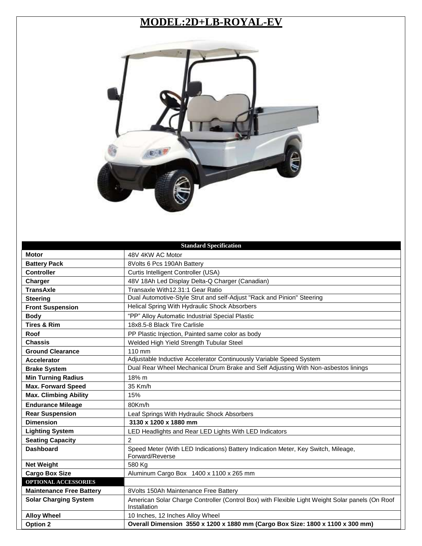#### **MODEL:2D+LB-ROYAL-EV**



|                                 | <b>Standard Specification</b>                                                                                   |
|---------------------------------|-----------------------------------------------------------------------------------------------------------------|
| <b>Motor</b>                    | 48V 4KW AC Motor                                                                                                |
| <b>Battery Pack</b>             | 8Volts 6 Pcs 190Ah Battery                                                                                      |
| <b>Controller</b>               | Curtis Intelligent Controller (USA)                                                                             |
| Charger                         | 48V 18Ah Led Display Delta-Q Charger (Canadian)                                                                 |
| <b>TransAxle</b>                | Transaxle With12.31:1 Gear Ratio                                                                                |
| <b>Steering</b>                 | Dual Automotive-Style Strut and self-Adjust "Rack and Pinion" Steering                                          |
| <b>Front Suspension</b>         | Helical Spring With Hydraulic Shock Absorbers                                                                   |
| <b>Body</b>                     | "PP" Alloy Automatic Industrial Special Plastic                                                                 |
| <b>Tires &amp; Rim</b>          | 18x8.5-8 Black Tire Carlisle                                                                                    |
| Roof                            | PP Plastic Injection, Painted same color as body                                                                |
| <b>Chassis</b>                  | Welded High Yield Strength Tubular Steel                                                                        |
| <b>Ground Clearance</b>         | 110 mm                                                                                                          |
| <b>Accelerator</b>              | Adjustable Inductive Accelerator Continuously Variable Speed System                                             |
| <b>Brake System</b>             | Dual Rear Wheel Mechanical Drum Brake and Self Adjusting With Non-asbestos linings                              |
| <b>Min Turning Radius</b>       | 18% m                                                                                                           |
| <b>Max. Forward Speed</b>       | 35 Km/h                                                                                                         |
| <b>Max. Climbing Ability</b>    | 15%                                                                                                             |
| <b>Endurance Mileage</b>        | 80Km/h                                                                                                          |
| <b>Rear Suspension</b>          | Leaf Springs With Hydraulic Shock Absorbers                                                                     |
| <b>Dimension</b>                | 3130 x 1200 x 1880 mm                                                                                           |
| <b>Lighting System</b>          | LED Headlights and Rear LED Lights With LED Indicators                                                          |
| <b>Seating Capacity</b>         | $\overline{2}$                                                                                                  |
| <b>Dashboard</b>                | Speed Meter (With LED Indications) Battery Indication Meter, Key Switch, Mileage,<br>Forward/Reverse            |
| <b>Net Weight</b>               | 580 Kg                                                                                                          |
| <b>Cargo Box Size</b>           | Aluminum Cargo Box 1400 x 1100 x 265 mm                                                                         |
| <b>OPTIONAL ACCESSORIES</b>     |                                                                                                                 |
| <b>Maintenance Free Battery</b> | 8Volts 150Ah Maintenance Free Battery                                                                           |
| <b>Solar Charging System</b>    | American Solar Charge Controller (Control Box) with Flexible Light Weight Solar panels (On Roof<br>Installation |
| <b>Alloy Wheel</b>              | 10 Inches, 12 Inches Alloy Wheel                                                                                |
| <b>Option 2</b>                 | Overall Dimension 3550 x 1200 x 1880 mm (Cargo Box Size: 1800 x 1100 x 300 mm)                                  |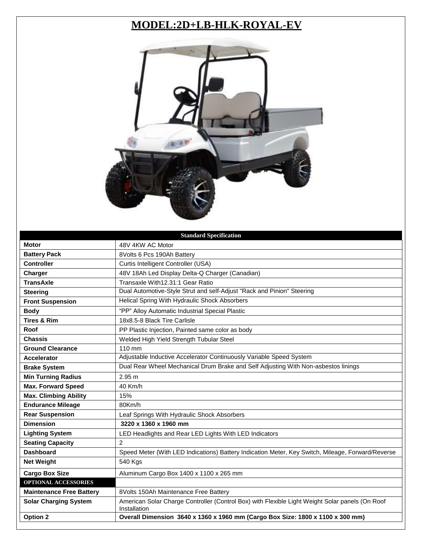## **MODEL:2D+LB-HLK-ROYAL-EV**



|                                 | <b>Standard Specification</b>                                                                                   |
|---------------------------------|-----------------------------------------------------------------------------------------------------------------|
| <b>Motor</b>                    | 48V 4KW AC Motor                                                                                                |
| <b>Battery Pack</b>             | 8Volts 6 Pcs 190Ah Battery                                                                                      |
| <b>Controller</b>               | Curtis Intelligent Controller (USA)                                                                             |
| Charger                         | 48V 18Ah Led Display Delta-Q Charger (Canadian)                                                                 |
| <b>TransAxle</b>                | Transaxle With12.31:1 Gear Ratio                                                                                |
| <b>Steering</b>                 | Dual Automotive-Style Strut and self-Adjust "Rack and Pinion" Steering                                          |
| <b>Front Suspension</b>         | Helical Spring With Hydraulic Shock Absorbers                                                                   |
| <b>Body</b>                     | "PP" Alloy Automatic Industrial Special Plastic                                                                 |
| <b>Tires &amp; Rim</b>          | 18x8.5-8 Black Tire Carlisle                                                                                    |
| Roof                            | PP Plastic Injection, Painted same color as body                                                                |
| <b>Chassis</b>                  | Welded High Yield Strength Tubular Steel                                                                        |
| <b>Ground Clearance</b>         | 110 mm                                                                                                          |
| <b>Accelerator</b>              | Adjustable Inductive Accelerator Continuously Variable Speed System                                             |
| <b>Brake System</b>             | Dual Rear Wheel Mechanical Drum Brake and Self Adjusting With Non-asbestos linings                              |
| <b>Min Turning Radius</b>       | 2.95 m                                                                                                          |
| <b>Max. Forward Speed</b>       | 40 Km/h                                                                                                         |
| <b>Max. Climbing Ability</b>    | 15%                                                                                                             |
| <b>Endurance Mileage</b>        | 80Km/h                                                                                                          |
| <b>Rear Suspension</b>          | Leaf Springs With Hydraulic Shock Absorbers                                                                     |
| <b>Dimension</b>                | 3220 x 1360 x 1960 mm                                                                                           |
| <b>Lighting System</b>          | LED Headlights and Rear LED Lights With LED Indicators                                                          |
| <b>Seating Capacity</b>         | $\overline{2}$                                                                                                  |
| <b>Dashboard</b>                | Speed Meter (With LED Indications) Battery Indication Meter, Key Switch, Mileage, Forward/Reverse               |
| <b>Net Weight</b>               | 540 Kgs                                                                                                         |
| <b>Cargo Box Size</b>           | Aluminum Cargo Box 1400 x 1100 x 265 mm                                                                         |
| OPTIONAL ACCESSORIES            |                                                                                                                 |
| <b>Maintenance Free Battery</b> | 8Volts 150Ah Maintenance Free Battery                                                                           |
| <b>Solar Charging System</b>    | American Solar Charge Controller (Control Box) with Flexible Light Weight Solar panels (On Roof<br>Installation |
| <b>Option 2</b>                 | Overall Dimension 3640 x 1360 x 1960 mm (Cargo Box Size: 1800 x 1100 x 300 mm)                                  |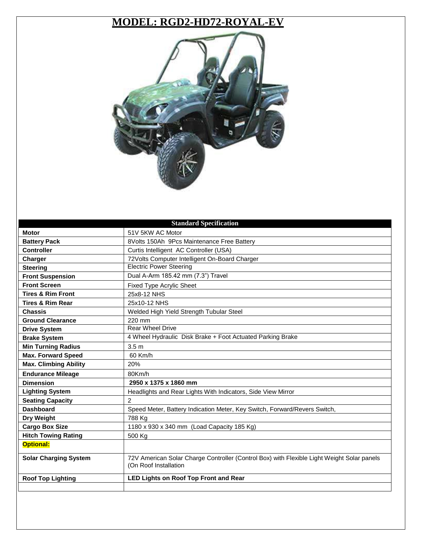#### **MODEL: RGD2-HD72-ROYAL-EV**



| <b>Standard Specification</b> |                                                                                                                     |
|-------------------------------|---------------------------------------------------------------------------------------------------------------------|
| <b>Motor</b>                  | 51V 5KW AC Motor                                                                                                    |
| <b>Battery Pack</b>           | 8Volts 150Ah 9Pcs Maintenance Free Battery                                                                          |
| <b>Controller</b>             | Curtis Intelligent AC Controller (USA)                                                                              |
| Charger                       | 72Volts Computer Intelligent On-Board Charger                                                                       |
| <b>Steering</b>               | <b>Electric Power Steering</b>                                                                                      |
| <b>Front Suspension</b>       | Dual A-Arm 185.42 mm (7.3") Travel                                                                                  |
| <b>Front Screen</b>           | <b>Fixed Type Acrylic Sheet</b>                                                                                     |
| <b>Tires &amp; Rim Front</b>  | 25x8-12 NHS                                                                                                         |
| <b>Tires &amp; Rim Rear</b>   | 25x10-12 NHS                                                                                                        |
| <b>Chassis</b>                | Welded High Yield Strength Tubular Steel                                                                            |
| <b>Ground Clearance</b>       | 220 mm                                                                                                              |
| <b>Drive System</b>           | <b>Rear Wheel Drive</b>                                                                                             |
| <b>Brake System</b>           | 4 Wheel Hydraulic Disk Brake + Foot Actuated Parking Brake                                                          |
| <b>Min Turning Radius</b>     | 3.5 <sub>m</sub>                                                                                                    |
| <b>Max. Forward Speed</b>     | 60 Km/h                                                                                                             |
| <b>Max. Climbing Ability</b>  | 20%                                                                                                                 |
| <b>Endurance Mileage</b>      | 80Km/h                                                                                                              |
| <b>Dimension</b>              | 2950 x 1375 x 1860 mm                                                                                               |
| <b>Lighting System</b>        | Headlights and Rear Lights With Indicators, Side View Mirror                                                        |
| <b>Seating Capacity</b>       | $\overline{2}$                                                                                                      |
| <b>Dashboard</b>              | Speed Meter, Battery Indication Meter, Key Switch, Forward/Revers Switch,                                           |
| Dry Weight                    | 788 Kg                                                                                                              |
| <b>Cargo Box Size</b>         | 1180 x 930 x 340 mm (Load Capacity 185 Kg)                                                                          |
| <b>Hitch Towing Rating</b>    | 500 Kg                                                                                                              |
| <b>Optional:</b>              |                                                                                                                     |
| <b>Solar Charging System</b>  | 72V American Solar Charge Controller (Control Box) with Flexible Light Weight Solar panels<br>(On Roof Installation |
| <b>Roof Top Lighting</b>      | <b>LED Lights on Roof Top Front and Rear</b>                                                                        |
|                               |                                                                                                                     |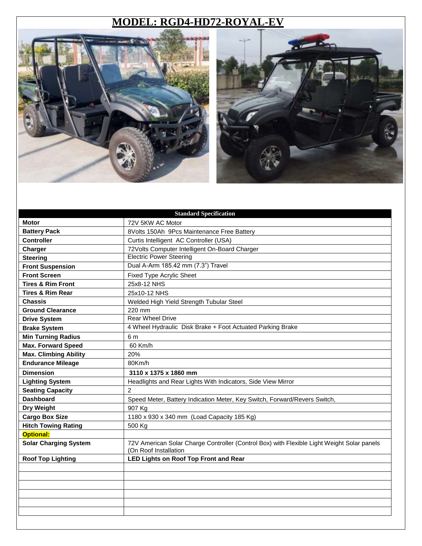#### **MODEL: RGD4-HD72-ROYAL-EV**





|                              | <b>Standard Specification</b>                                                                                       |
|------------------------------|---------------------------------------------------------------------------------------------------------------------|
| <b>Motor</b>                 | 72V 5KW AC Motor                                                                                                    |
| <b>Battery Pack</b>          | 8Volts 150Ah 9Pcs Maintenance Free Battery                                                                          |
| <b>Controller</b>            | Curtis Intelligent AC Controller (USA)                                                                              |
| Charger                      | 72Volts Computer Intelligent On-Board Charger                                                                       |
| <b>Steering</b>              | <b>Electric Power Steering</b>                                                                                      |
| <b>Front Suspension</b>      | Dual A-Arm 185.42 mm (7.3") Travel                                                                                  |
| <b>Front Screen</b>          | Fixed Type Acrylic Sheet                                                                                            |
| <b>Tires &amp; Rim Front</b> | 25x8-12 NHS                                                                                                         |
| <b>Tires &amp; Rim Rear</b>  | 25x10-12 NHS                                                                                                        |
| <b>Chassis</b>               | Welded High Yield Strength Tubular Steel                                                                            |
| <b>Ground Clearance</b>      | 220 mm                                                                                                              |
| <b>Drive System</b>          | <b>Rear Wheel Drive</b>                                                                                             |
| <b>Brake System</b>          | 4 Wheel Hydraulic Disk Brake + Foot Actuated Parking Brake                                                          |
| <b>Min Turning Radius</b>    | 6 m                                                                                                                 |
| <b>Max. Forward Speed</b>    | 60 Km/h                                                                                                             |
| <b>Max. Climbing Ability</b> | 20%                                                                                                                 |
| <b>Endurance Mileage</b>     | 80Km/h                                                                                                              |
| <b>Dimension</b>             | 3110 x 1375 x 1860 mm                                                                                               |
|                              |                                                                                                                     |
| <b>Lighting System</b>       | Headlights and Rear Lights With Indicators, Side View Mirror                                                        |
| <b>Seating Capacity</b>      | $\overline{2}$                                                                                                      |
| <b>Dashboard</b>             | Speed Meter, Battery Indication Meter, Key Switch, Forward/Revers Switch,                                           |
| Dry Weight                   | 907 Kg                                                                                                              |
| <b>Cargo Box Size</b>        | 1180 x 930 x 340 mm (Load Capacity 185 Kg)                                                                          |
| <b>Hitch Towing Rating</b>   | 500 Kg                                                                                                              |
| <b>Optional:</b>             |                                                                                                                     |
| <b>Solar Charging System</b> | 72V American Solar Charge Controller (Control Box) with Flexible Light Weight Solar panels<br>(On Roof Installation |
| <b>Roof Top Lighting</b>     | <b>LED Lights on Roof Top Front and Rear</b>                                                                        |
|                              |                                                                                                                     |
|                              |                                                                                                                     |
|                              |                                                                                                                     |
|                              |                                                                                                                     |
|                              |                                                                                                                     |
|                              |                                                                                                                     |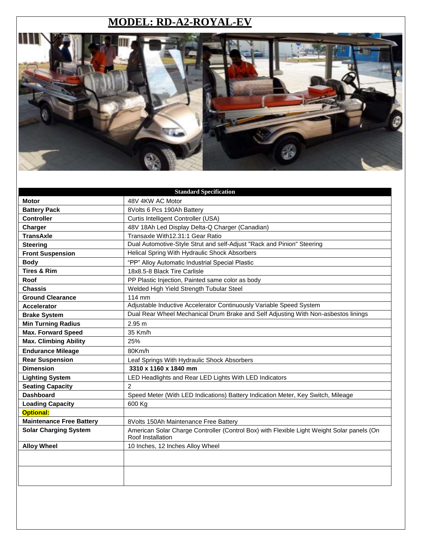#### **MODEL: RD-A2-ROYAL-EV**



|                                 | <b>Standard Specification</b>                                                                                   |
|---------------------------------|-----------------------------------------------------------------------------------------------------------------|
| <b>Motor</b>                    | 48V 4KW AC Motor                                                                                                |
| <b>Battery Pack</b>             | 8Volts 6 Pcs 190Ah Battery                                                                                      |
| <b>Controller</b>               | Curtis Intelligent Controller (USA)                                                                             |
| Charger                         | 48V 18Ah Led Display Delta-Q Charger (Canadian)                                                                 |
| <b>TransAxle</b>                | Transaxle With12.31:1 Gear Ratio                                                                                |
| <b>Steering</b>                 | Dual Automotive-Style Strut and self-Adjust "Rack and Pinion" Steering                                          |
| <b>Front Suspension</b>         | Helical Spring With Hydraulic Shock Absorbers                                                                   |
| <b>Body</b>                     | "PP" Alloy Automatic Industrial Special Plastic                                                                 |
| <b>Tires &amp; Rim</b>          | 18x8.5-8 Black Tire Carlisle                                                                                    |
| Roof                            | PP Plastic Injection, Painted same color as body                                                                |
| <b>Chassis</b>                  | Welded High Yield Strength Tubular Steel                                                                        |
| <b>Ground Clearance</b>         | 114 mm                                                                                                          |
| <b>Accelerator</b>              | Adjustable Inductive Accelerator Continuously Variable Speed System                                             |
| <b>Brake System</b>             | Dual Rear Wheel Mechanical Drum Brake and Self Adjusting With Non-asbestos linings                              |
| <b>Min Turning Radius</b>       | 2.95 m                                                                                                          |
| <b>Max. Forward Speed</b>       | 35 Km/h                                                                                                         |
| <b>Max. Climbing Ability</b>    | 25%                                                                                                             |
| <b>Endurance Mileage</b>        | 80Km/h                                                                                                          |
| <b>Rear Suspension</b>          | Leaf Springs With Hydraulic Shock Absorbers                                                                     |
| <b>Dimension</b>                | 3310 x 1160 x 1840 mm                                                                                           |
| <b>Lighting System</b>          | LED Headlights and Rear LED Lights With LED Indicators                                                          |
| <b>Seating Capacity</b>         | $\mathcal{P}$                                                                                                   |
| <b>Dashboard</b>                | Speed Meter (With LED Indications) Battery Indication Meter, Key Switch, Mileage                                |
| <b>Loading Capacity</b>         | 600 Kg                                                                                                          |
| <b>Optional:</b>                |                                                                                                                 |
| <b>Maintenance Free Battery</b> | 8Volts 150Ah Maintenance Free Battery                                                                           |
| <b>Solar Charging System</b>    | American Solar Charge Controller (Control Box) with Flexible Light Weight Solar panels (On<br>Roof Installation |
| <b>Alloy Wheel</b>              | 10 Inches, 12 Inches Alloy Wheel                                                                                |
|                                 |                                                                                                                 |
|                                 |                                                                                                                 |
|                                 |                                                                                                                 |
|                                 |                                                                                                                 |
|                                 |                                                                                                                 |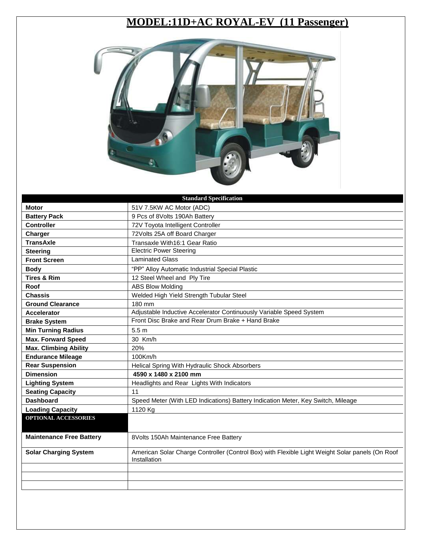## **MODEL:11D+AC ROYAL-EV (11 Passenger)**



| <b>Standard Specification</b>   |                                                                                                                 |
|---------------------------------|-----------------------------------------------------------------------------------------------------------------|
| <b>Motor</b>                    | 51V 7.5KW AC Motor (ADC)                                                                                        |
| <b>Battery Pack</b>             | 9 Pcs of 8Volts 190Ah Battery                                                                                   |
| <b>Controller</b>               | 72V Toyota Intelligent Controller                                                                               |
| Charger                         | 72Volts 25A off Board Charger                                                                                   |
| <b>TransAxle</b>                | Transaxle With16:1 Gear Ratio                                                                                   |
| <b>Steering</b>                 | <b>Electric Power Steering</b>                                                                                  |
| <b>Front Screen</b>             | <b>Laminated Glass</b>                                                                                          |
| <b>Body</b>                     | "PP" Alloy Automatic Industrial Special Plastic                                                                 |
| <b>Tires &amp; Rim</b>          | 12 Steel Wheel and Ply Tire                                                                                     |
| Roof                            | <b>ABS Blow Molding</b>                                                                                         |
| <b>Chassis</b>                  | Welded High Yield Strength Tubular Steel                                                                        |
| <b>Ground Clearance</b>         | 180 mm                                                                                                          |
| <b>Accelerator</b>              | Adjustable Inductive Accelerator Continuously Variable Speed System                                             |
| <b>Brake System</b>             | Front Disc Brake and Rear Drum Brake + Hand Brake                                                               |
| <b>Min Turning Radius</b>       | 5.5 <sub>m</sub>                                                                                                |
| <b>Max. Forward Speed</b>       | 30 Km/h                                                                                                         |
| <b>Max. Climbing Ability</b>    | 20%                                                                                                             |
| <b>Endurance Mileage</b>        | 100Km/h                                                                                                         |
| <b>Rear Suspension</b>          | Helical Spring With Hydraulic Shock Absorbers                                                                   |
| <b>Dimension</b>                | 4590 x 1480 x 2100 mm                                                                                           |
| <b>Lighting System</b>          | Headlights and Rear Lights With Indicators                                                                      |
| <b>Seating Capacity</b>         | 11                                                                                                              |
| <b>Dashboard</b>                | Speed Meter (With LED Indications) Battery Indication Meter, Key Switch, Mileage                                |
| <b>Loading Capacity</b>         | 1120 Kg                                                                                                         |
| OPTIONAL ACCESSORIES            |                                                                                                                 |
|                                 |                                                                                                                 |
| <b>Maintenance Free Battery</b> | 8Volts 150Ah Maintenance Free Battery                                                                           |
| <b>Solar Charging System</b>    | American Solar Charge Controller (Control Box) with Flexible Light Weight Solar panels (On Roof<br>Installation |
|                                 |                                                                                                                 |
|                                 |                                                                                                                 |
|                                 |                                                                                                                 |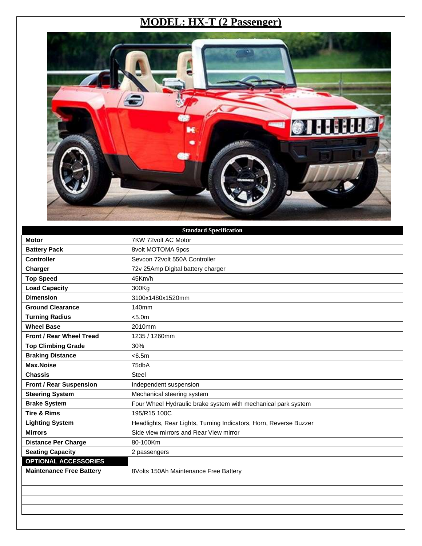### **MODEL: HX-T (2 Passenger)**



| <b>Standard Specification</b>   |                                                                   |
|---------------------------------|-------------------------------------------------------------------|
| <b>Motor</b>                    | 7KW 72volt AC Motor                                               |
| <b>Battery Pack</b>             | 8volt MOTOMA 9pcs                                                 |
| <b>Controller</b>               | Sevcon 72volt 550A Controller                                     |
| Charger                         | 72v 25Amp Digital battery charger                                 |
| <b>Top Speed</b>                | 45Km/h                                                            |
| <b>Load Capacity</b>            | 300Kg                                                             |
| <b>Dimension</b>                | 3100x1480x1520mm                                                  |
| <b>Ground Clearance</b>         | 140mm                                                             |
| <b>Turning Radius</b>           | < 5.0m                                                            |
| <b>Wheel Base</b>               | 2010mm                                                            |
| Front / Rear Wheel Tread        | 1235 / 1260mm                                                     |
| <b>Top Climbing Grade</b>       | 30%                                                               |
| <b>Braking Distance</b>         | < 6.5m                                                            |
| <b>Max.Noise</b>                | 75dbA                                                             |
| <b>Chassis</b>                  | <b>Steel</b>                                                      |
| <b>Front / Rear Suspension</b>  | Independent suspension                                            |
| <b>Steering System</b>          | Mechanical steering system                                        |
| <b>Brake System</b>             | Four Wheel Hydraulic brake system with mechanical park system     |
| <b>Tire &amp; Rims</b>          | 195/R15 100C                                                      |
| <b>Lighting System</b>          | Headlights, Rear Lights, Turning Indicators, Horn, Reverse Buzzer |
| <b>Mirrors</b>                  | Side view mirrors and Rear View mirror                            |
| <b>Distance Per Charge</b>      | 80-100Km                                                          |
| <b>Seating Capacity</b>         | 2 passengers                                                      |
| <b>OPTIONAL ACCESSORIES</b>     |                                                                   |
| <b>Maintenance Free Battery</b> | 8Volts 150Ah Maintenance Free Battery                             |
|                                 |                                                                   |
|                                 |                                                                   |
|                                 |                                                                   |
|                                 |                                                                   |
|                                 |                                                                   |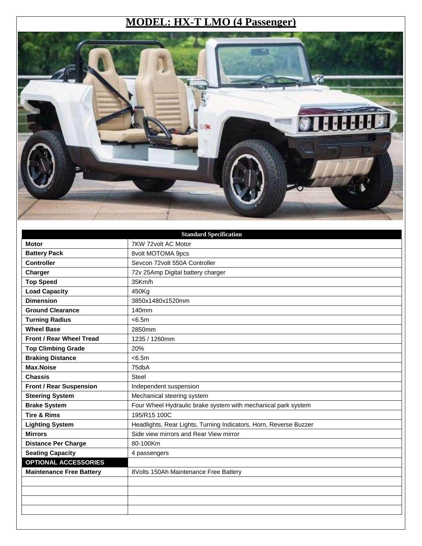### **MODEL: HX-T LMO (4 Passenger)**



| <b>Standard Specification</b>   |                                                                   |
|---------------------------------|-------------------------------------------------------------------|
| <b>Motor</b>                    | 7KW 72volt AC Motor                                               |
| <b>Battery Pack</b>             | 8volt MOTOMA 9pcs                                                 |
| <b>Controller</b>               | Sevcon 72volt 550A Controller                                     |
| Charger                         | 72v 25Amp Digital battery charger                                 |
| <b>Top Speed</b>                | 35Km/h                                                            |
| <b>Load Capacity</b>            | 450Kg                                                             |
| <b>Dimension</b>                | 3850x1480x1520mm                                                  |
| <b>Ground Clearance</b>         | 140mm                                                             |
| <b>Turning Radius</b>           | < 6.5m                                                            |
| <b>Wheel Base</b>               | 2850mm                                                            |
| Front / Rear Wheel Tread        | 1235 / 1260mm                                                     |
| <b>Top Climbing Grade</b>       | 20%                                                               |
| <b>Braking Distance</b>         | < 6.5m                                                            |
| <b>Max.Noise</b>                | 75dbA                                                             |
| <b>Chassis</b>                  | <b>Steel</b>                                                      |
| <b>Front / Rear Suspension</b>  | Independent suspension                                            |
| <b>Steering System</b>          | Mechanical steering system                                        |
| <b>Brake System</b>             | Four Wheel Hydraulic brake system with mechanical park system     |
| <b>Tire &amp; Rims</b>          | 195/R15 100C                                                      |
| <b>Lighting System</b>          | Headlights, Rear Lights, Turning Indicators, Horn, Reverse Buzzer |
| <b>Mirrors</b>                  | Side view mirrors and Rear View mirror                            |
| <b>Distance Per Charge</b>      | 80-100Km                                                          |
| <b>Seating Capacity</b>         | 4 passengers                                                      |
| <b>OPTIONAL ACCESSORIES</b>     |                                                                   |
| <b>Maintenance Free Battery</b> | 8Volts 150Ah Maintenance Free Battery                             |
|                                 |                                                                   |
|                                 |                                                                   |
|                                 |                                                                   |
|                                 |                                                                   |
|                                 |                                                                   |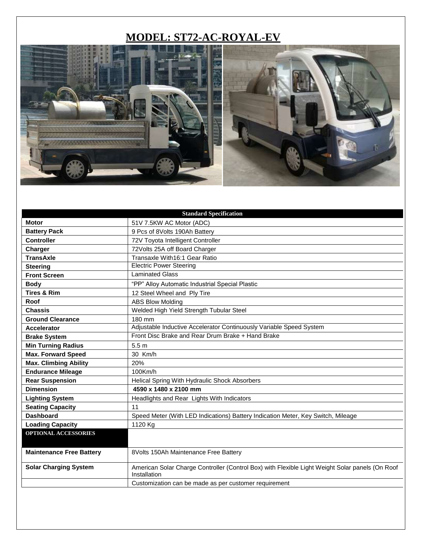## **MODEL: ST72-AC-ROYAL-EV**



|                                 | <b>Standard Specification</b>                                                                                   |
|---------------------------------|-----------------------------------------------------------------------------------------------------------------|
| <b>Motor</b>                    | 51V 7.5KW AC Motor (ADC)                                                                                        |
| <b>Battery Pack</b>             | 9 Pcs of 8Volts 190Ah Battery                                                                                   |
| <b>Controller</b>               | 72V Toyota Intelligent Controller                                                                               |
| Charger                         | 72Volts 25A off Board Charger                                                                                   |
| <b>TransAxle</b>                | Transaxle With16:1 Gear Ratio                                                                                   |
| <b>Steering</b>                 | <b>Electric Power Steering</b>                                                                                  |
| <b>Front Screen</b>             | Laminated Glass                                                                                                 |
| <b>Body</b>                     | "PP" Alloy Automatic Industrial Special Plastic                                                                 |
| <b>Tires &amp; Rim</b>          | 12 Steel Wheel and Ply Tire                                                                                     |
| Roof                            | <b>ABS Blow Molding</b>                                                                                         |
| <b>Chassis</b>                  | Welded High Yield Strength Tubular Steel                                                                        |
| <b>Ground Clearance</b>         | 180 mm                                                                                                          |
| <b>Accelerator</b>              | Adjustable Inductive Accelerator Continuously Variable Speed System                                             |
| <b>Brake System</b>             | Front Disc Brake and Rear Drum Brake + Hand Brake                                                               |
| <b>Min Turning Radius</b>       | 5.5 <sub>m</sub>                                                                                                |
| <b>Max. Forward Speed</b>       | 30 Km/h                                                                                                         |
| <b>Max. Climbing Ability</b>    | 20%                                                                                                             |
| <b>Endurance Mileage</b>        | 100Km/h                                                                                                         |
| <b>Rear Suspension</b>          | Helical Spring With Hydraulic Shock Absorbers                                                                   |
| <b>Dimension</b>                | 4590 x 1480 x 2100 mm                                                                                           |
| <b>Lighting System</b>          | Headlights and Rear Lights With Indicators                                                                      |
| <b>Seating Capacity</b>         | 11                                                                                                              |
| <b>Dashboard</b>                | Speed Meter (With LED Indications) Battery Indication Meter, Key Switch, Mileage                                |
| <b>Loading Capacity</b>         | 1120 Kg                                                                                                         |
| <b>OPTIONAL ACCESSORIES</b>     |                                                                                                                 |
| <b>Maintenance Free Battery</b> | 8Volts 150Ah Maintenance Free Battery                                                                           |
| <b>Solar Charging System</b>    | American Solar Charge Controller (Control Box) with Flexible Light Weight Solar panels (On Roof<br>Installation |
|                                 | Customization can be made as per customer requirement                                                           |
|                                 |                                                                                                                 |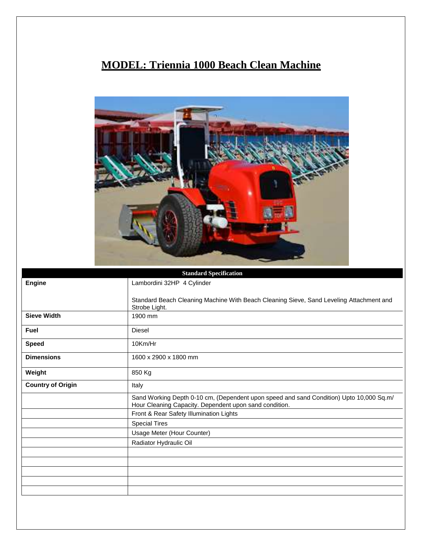## **MODEL: Triennia 1000 Beach Clean Machine**



|                          | <b>Standard Specification</b>                                                                                                                     |
|--------------------------|---------------------------------------------------------------------------------------------------------------------------------------------------|
| <b>Engine</b>            | Lambordini 32HP 4 Cylinder                                                                                                                        |
|                          | Standard Beach Cleaning Machine With Beach Cleaning Sieve, Sand Leveling Attachment and<br>Strobe Light.                                          |
| <b>Sieve Width</b>       | 1900 mm                                                                                                                                           |
| <b>Fuel</b>              | <b>Diesel</b>                                                                                                                                     |
| <b>Speed</b>             | 10Km/Hr                                                                                                                                           |
| <b>Dimensions</b>        | 1600 x 2900 x 1800 mm                                                                                                                             |
| Weight                   | 850 Kg                                                                                                                                            |
| <b>Country of Origin</b> | Italy                                                                                                                                             |
|                          | Sand Working Depth 0-10 cm, (Dependent upon speed and sand Condition) Upto 10,000 Sq.m/<br>Hour Cleaning Capacity. Dependent upon sand condition. |
|                          | Front & Rear Safety Illumination Lights                                                                                                           |
|                          | <b>Special Tires</b>                                                                                                                              |
|                          | Usage Meter (Hour Counter)                                                                                                                        |
|                          | Radiator Hydraulic Oil                                                                                                                            |
|                          |                                                                                                                                                   |
|                          |                                                                                                                                                   |
|                          |                                                                                                                                                   |
|                          |                                                                                                                                                   |